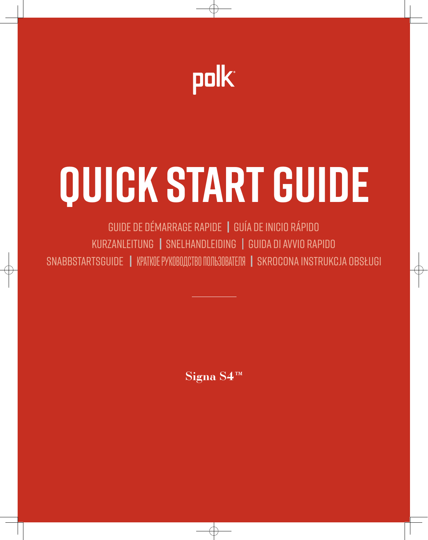

# QUICK START GUIDE

GUIDE DE DÉMARRAGE RAPIDE | GUÍA DE INICIO RÁPIDO KURZANLEITUNG | SNELHANDLEIDING | GUIDA DI AVVIO RAPIDO SNABBSTARTSGUIDE | KPATKOE PYKOBOJCTBO NOJIB3OBATEJJA | SKROCONA INSTRUKCJA OBSŁUGI

Signa S4<sup>IM</sup>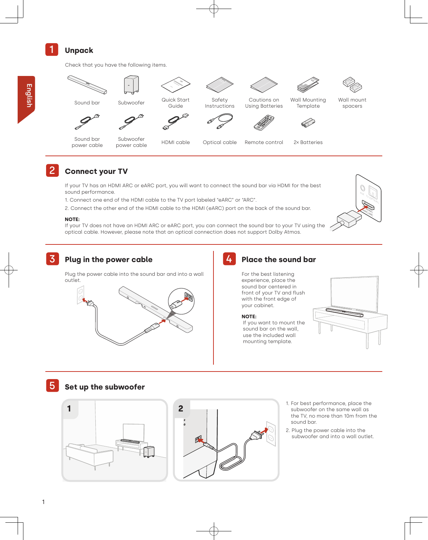# 1 **Unpack**

Check that you have the following items.



Sound bar power cable



- HDMI cable Optical cable Remote control 2x Batteries
- 

TV CONCAL)

TV (HDMI)

# **Connect your TV**

If your TV has an HDMI ARC or eARC port, you will want to connect the sound bar via HDMI for the best sound performance.

1. Connect one end of the HDMI cable to the TV port labeled "eARC" or "ARC".

2. Connect the other end of the HDMI cable to the HDMI (eARC) port on the back of the sound bar.

#### **NOTE:**

If your TV does not have an HDMI ARC or eARC port, you can connect the sound bar to your TV using the optical cable. However, please note that an optical connection does not support Dolby Atmos.



Plug the power cable into the sound bar and into a wall outlet.



4 **Place the sound bar**

For the best listening experience, place the sound bar centered in front of your TV and flush with the front edge of your cabinet.

#### **NOTE:**

If you want to mount the sound bar on the wall, use the included wall mounting template.



# 5 **Set up the subwoofer**





- 1. For best performance, place the subwoofer on the same wall as the TV, no more than 10m from the sound bar.
- 2. Plug the power cable into the subwoofer and into a wall outlet.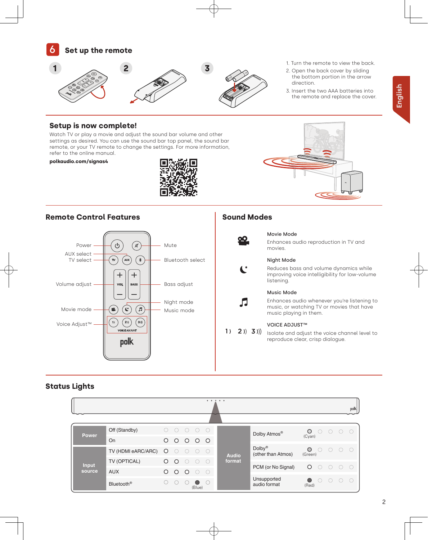

- 1. Turn the remote to view the back.
- 2. Open the back cover by sliding the bottom portion in the arrow direction.
- 3. Insert the two AAA batteries into the remote and replace the cover.

# **Setup is now complete!**

Watch TV or play a movie and adjust the sound bar volume and other settings as desired. You can use the sound bar top panel, the sound bar remote, or your TV remote to change the settings. For more information, refer to the online manual.

## **polkaudio.com/signas4**



## **Remote Control Features Sound Modes**





Л

# Movie Mode

Enhances audio reproduction in TV and movies.



### Night Mode

Reduces bass and volume dynamics while improving voice intelligibility for low-volume listening.



Enhances audio whenever you're listening to music, or watching TV or movies that have music playing in them.

#### VOICE ADJUST™

 $1)$  2) 3) Isolate and adjust the voice channel level to reproduce clear, crisp dialogue.

# **Status Lights**

|                 |                        |         |          |         |                 |                          | $0\qquad 0\qquad 0\qquad 0\qquad 0$ |                                          |                                 |     |               | polk      |
|-----------------|------------------------|---------|----------|---------|-----------------|--------------------------|-------------------------------------|------------------------------------------|---------------------------------|-----|---------------|-----------|
| Power           | Off (Standby)          | $($ )   | ()       | ( )     | ( )             | $\bigcirc$               | <b>Audio</b><br>format              | Dolby Atmos®                             | O<br>( )<br>(Cyan)              | (   | ()            | (         |
|                 | On                     | O       | $\circ$  | $\circ$ | $\circ$ $\circ$ |                          |                                     |                                          |                                 |     |               |           |
| Input<br>source | TV (HDMI eARC/ARC)     | $\circ$ | $\circ$  | $\circ$ | $\bigcirc$      | $\overline{\phantom{a}}$ |                                     | Dolby <sup>®</sup><br>(other than Atmos) | $\circ$<br>$\bigcap$<br>(Green) | ( ) | $\bigcirc$    | $\bigcap$ |
|                 | TV (OPTICAL)           | O       | $\Omega$ |         | ∩               | $\bigcap$                |                                     |                                          |                                 |     |               |           |
|                 | <b>AUX</b>             | O       | $\circ$  | $\circ$ | ∩               | $\bigcirc$               |                                     | PCM (or No Signal)                       | $\circ$<br>$\bigcirc$           | ( ) | $\cap$ $\cap$ |           |
|                 | Bluetooth <sup>®</sup> | 0       |          |         | ●<br>(Blue)     | $\bigcap$                |                                     | Unsupported<br>audio format              | $\left($<br>(Red)               | (   | ()            | (         |